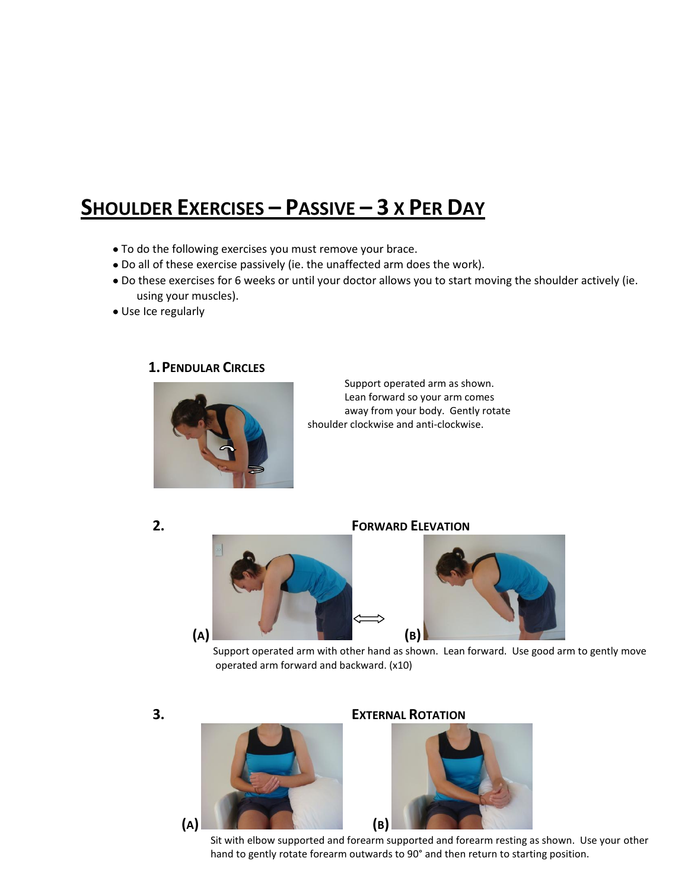# **SHOULDER EXERCISES – PASSIVE – 3 X PER DAY**

- To do the following exercises you must remove your brace.
- Do all of these exercise passively (ie. the unaffected arm does the work).
- Do these exercises for 6 weeks or until your doctor allows you to start moving the shoulder actively (ie. using your muscles).
- Use Ice regularly

**1.PENDULAR CIRCLES** 



Support operated arm as shown. Lean forward so your arm comes away from your body. Gently rotate shoulder clockwise and anti-clockwise.





 Support operated arm with other hand as shown. Lean forward. Use good arm to gently move operated arm forward and backward. (x10)



**3. EXTERNAL ROTATION**



 Sit with elbow supported and forearm supported and forearm resting as shown. Use your other hand to gently rotate forearm outwards to 90° and then return to starting position.